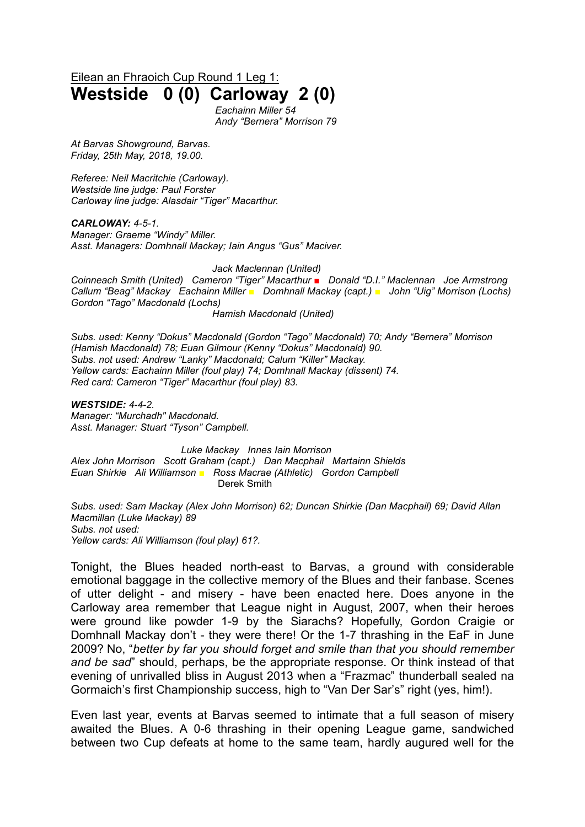Eilean an Fhraoich Cup Round 1 Leg 1:

## **Westside 0 (0) Carloway 2 (0)**

*Eachainn Miller 54 Andy "Bernera" Morrison 79*

*At Barvas Showground, Barvas. Friday, 25th May, 2018, 19.00.*

*Referee: Neil Macritchie (Carloway). Westside line judge: Paul Forster Carloway line judge: Alasdair "Tiger" Macarthur.*

*CARLOWAY: 4-5-1. Manager: Graeme "Windy" Miller. Asst. Managers: Domhnall Mackay; Iain Angus "Gus" Maciver.*

*Jack Maclennan (United)*

*Coinneach Smith (United) Cameron "Tiger" Macarthur* ■ *Donald "D.I." Maclennan Joe Armstrong Callum "Beag" Mackay Eachainn Miller ■ Domhnall Mackay (capt.) ■ John "Uig" Morrison (Lochs) Gordon "Tago" Macdonald (Lochs)* 

*Hamish Macdonald (United)*

*Subs. used: Kenny "Dokus" Macdonald (Gordon "Tago" Macdonald) 70; Andy "Bernera" Morrison (Hamish Macdonald) 78; Euan Gilmour (Kenny "Dokus" Macdonald) 90. Subs. not used: Andrew "Lanky" Macdonald; Calum "Killer" Mackay. Yellow cards: Eachainn Miller (foul play) 74; Domhnall Mackay (dissent) 74. Red card: Cameron "Tiger" Macarthur (foul play) 83.*

*WESTSIDE: 4-4-2. Manager: "Murchadh" Macdonald. Asst. Manager: Stuart "Tyson" Campbell.*

*Luke Mackay Innes Iain Morrison Alex John Morrison Scott Graham (capt.) Dan Macphail Martainn Shields Euan Shirkie Ali Williamson ■ Ross Macrae (Athletic) Gordon Campbell* Derek Smith

*Subs. used: Sam Mackay (Alex John Morrison) 62; Duncan Shirkie (Dan Macphail) 69; David Allan Macmillan (Luke Mackay) 89 Subs. not used: Yellow cards: Ali Williamson (foul play) 61?.*

Tonight, the Blues headed north-east to Barvas, a ground with considerable emotional baggage in the collective memory of the Blues and their fanbase. Scenes of utter delight - and misery - have been enacted here. Does anyone in the Carloway area remember that League night in August, 2007, when their heroes were ground like powder 1-9 by the Siarachs? Hopefully, Gordon Craigie or Domhnall Mackay don't - they were there! Or the 1-7 thrashing in the EaF in June 2009? No, "*better by far you should forget and smile than that you should remember and be sad*" should, perhaps, be the appropriate response. Or think instead of that evening of unrivalled bliss in August 2013 when a "Frazmac" thunderball sealed na Gormaich's first Championship success, high to "Van Der Sar's" right (yes, him!).

Even last year, events at Barvas seemed to intimate that a full season of misery awaited the Blues. A 0-6 thrashing in their opening League game, sandwiched between two Cup defeats at home to the same team, hardly augured well for the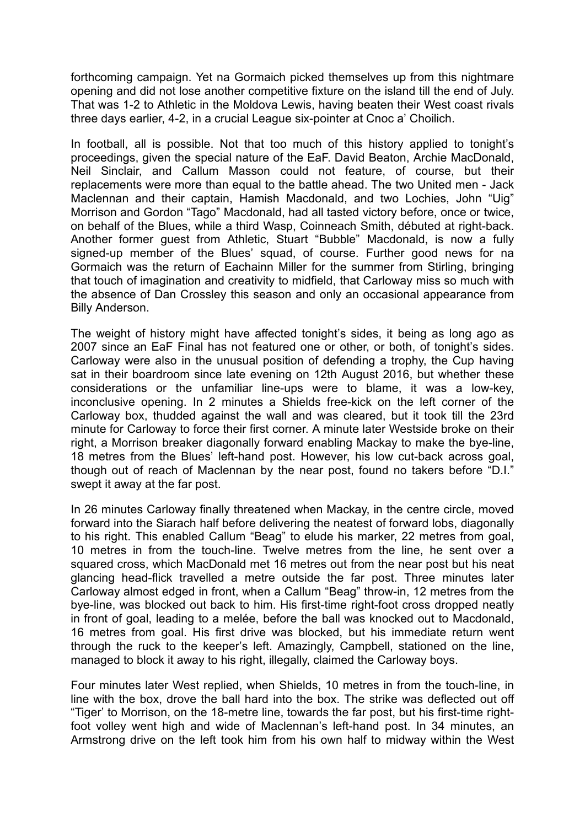forthcoming campaign. Yet na Gormaich picked themselves up from this nightmare opening and did not lose another competitive fixture on the island till the end of July. That was 1-2 to Athletic in the Moldova Lewis, having beaten their West coast rivals three days earlier, 4-2, in a crucial League six-pointer at Cnoc a' Choilich.

In football, all is possible. Not that too much of this history applied to tonight's proceedings, given the special nature of the EaF. David Beaton, Archie MacDonald, Neil Sinclair, and Callum Masson could not feature, of course, but their replacements were more than equal to the battle ahead. The two United men - Jack Maclennan and their captain, Hamish Macdonald, and two Lochies, John "Uig" Morrison and Gordon "Tago" Macdonald, had all tasted victory before, once or twice, on behalf of the Blues, while a third Wasp, Coinneach Smith, débuted at right-back. Another former guest from Athletic, Stuart "Bubble" Macdonald, is now a fully signed-up member of the Blues' squad, of course. Further good news for na Gormaich was the return of Eachainn Miller for the summer from Stirling, bringing that touch of imagination and creativity to midfield, that Carloway miss so much with the absence of Dan Crossley this season and only an occasional appearance from Billy Anderson.

The weight of history might have affected tonight's sides, it being as long ago as 2007 since an EaF Final has not featured one or other, or both, of tonight's sides. Carloway were also in the unusual position of defending a trophy, the Cup having sat in their boardroom since late evening on 12th August 2016, but whether these considerations or the unfamiliar line-ups were to blame, it was a low-key, inconclusive opening. In 2 minutes a Shields free-kick on the left corner of the Carloway box, thudded against the wall and was cleared, but it took till the 23rd minute for Carloway to force their first corner. A minute later Westside broke on their right, a Morrison breaker diagonally forward enabling Mackay to make the bye-line, 18 metres from the Blues' left-hand post. However, his low cut-back across goal, though out of reach of Maclennan by the near post, found no takers before "D.I." swept it away at the far post.

In 26 minutes Carloway finally threatened when Mackay, in the centre circle, moved forward into the Siarach half before delivering the neatest of forward lobs, diagonally to his right. This enabled Callum "Beag" to elude his marker, 22 metres from goal, 10 metres in from the touch-line. Twelve metres from the line, he sent over a squared cross, which MacDonald met 16 metres out from the near post but his neat glancing head-flick travelled a metre outside the far post. Three minutes later Carloway almost edged in front, when a Callum "Beag" throw-in, 12 metres from the bye-line, was blocked out back to him. His first-time right-foot cross dropped neatly in front of goal, leading to a melée, before the ball was knocked out to Macdonald, 16 metres from goal. His first drive was blocked, but his immediate return went through the ruck to the keeper's left. Amazingly, Campbell, stationed on the line, managed to block it away to his right, illegally, claimed the Carloway boys.

Four minutes later West replied, when Shields, 10 metres in from the touch-line, in line with the box, drove the ball hard into the box. The strike was deflected out off "Tiger' to Morrison, on the 18-metre line, towards the far post, but his first-time rightfoot volley went high and wide of Maclennan's left-hand post. In 34 minutes, an Armstrong drive on the left took him from his own half to midway within the West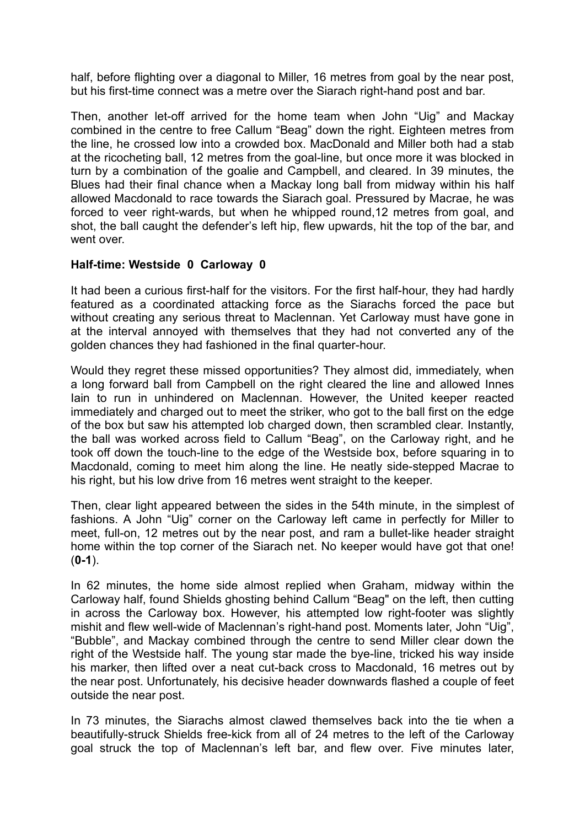half, before flighting over a diagonal to Miller, 16 metres from goal by the near post, but his first-time connect was a metre over the Siarach right-hand post and bar.

Then, another let-off arrived for the home team when John "Uig" and Mackay combined in the centre to free Callum "Beag" down the right. Eighteen metres from the line, he crossed low into a crowded box. MacDonald and Miller both had a stab at the ricocheting ball, 12 metres from the goal-line, but once more it was blocked in turn by a combination of the goalie and Campbell, and cleared. In 39 minutes, the Blues had their final chance when a Mackay long ball from midway within his half allowed Macdonald to race towards the Siarach goal. Pressured by Macrae, he was forced to veer right-wards, but when he whipped round,12 metres from goal, and shot, the ball caught the defender's left hip, flew upwards, hit the top of the bar, and went over.

## **Half-time: Westside 0 Carloway 0**

It had been a curious first-half for the visitors. For the first half-hour, they had hardly featured as a coordinated attacking force as the Siarachs forced the pace but without creating any serious threat to Maclennan. Yet Carloway must have gone in at the interval annoyed with themselves that they had not converted any of the golden chances they had fashioned in the final quarter-hour.

Would they regret these missed opportunities? They almost did, immediately, when a long forward ball from Campbell on the right cleared the line and allowed Innes Iain to run in unhindered on Maclennan. However, the United keeper reacted immediately and charged out to meet the striker, who got to the ball first on the edge of the box but saw his attempted lob charged down, then scrambled clear. Instantly, the ball was worked across field to Callum "Beag", on the Carloway right, and he took off down the touch-line to the edge of the Westside box, before squaring in to Macdonald, coming to meet him along the line. He neatly side-stepped Macrae to his right, but his low drive from 16 metres went straight to the keeper.

Then, clear light appeared between the sides in the 54th minute, in the simplest of fashions. A John "Uig" corner on the Carloway left came in perfectly for Miller to meet, full-on, 12 metres out by the near post, and ram a bullet-like header straight home within the top corner of the Siarach net. No keeper would have got that one! (**0-1**).

In 62 minutes, the home side almost replied when Graham, midway within the Carloway half, found Shields ghosting behind Callum "Beag" on the left, then cutting in across the Carloway box. However, his attempted low right-footer was slightly mishit and flew well-wide of Maclennan's right-hand post. Moments later, John "Uig", "Bubble", and Mackay combined through the centre to send Miller clear down the right of the Westside half. The young star made the bye-line, tricked his way inside his marker, then lifted over a neat cut-back cross to Macdonald, 16 metres out by the near post. Unfortunately, his decisive header downwards flashed a couple of feet outside the near post.

In 73 minutes, the Siarachs almost clawed themselves back into the tie when a beautifully-struck Shields free-kick from all of 24 metres to the left of the Carloway goal struck the top of Maclennan's left bar, and flew over. Five minutes later,